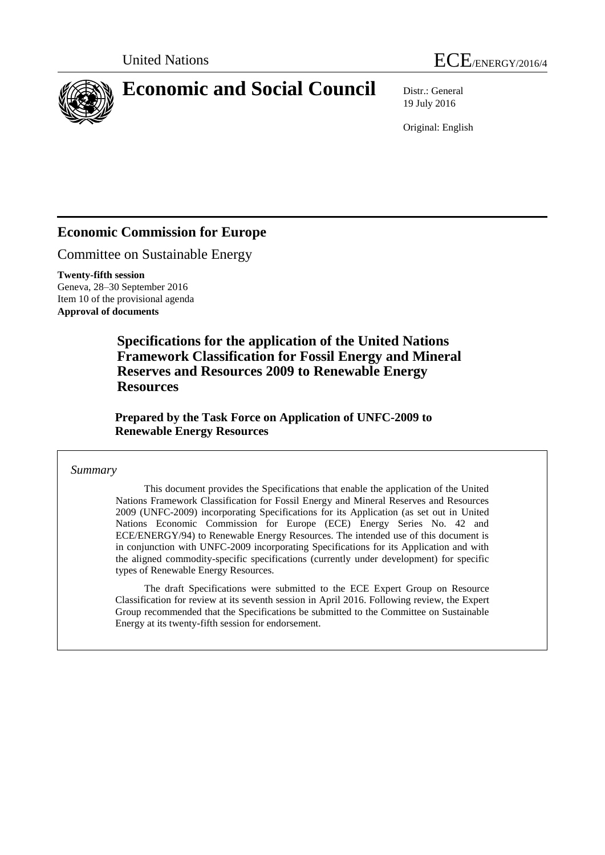



# **Economic and Social Council** Distr.: General

19 July 2016

Original: English

# **Economic Commission for Europe**

Committee on Sustainable Energy

**Twenty-fifth session** Geneva, 28–30 September 2016 Item 10 of the provisional agenda **Approval of documents**

> **Specifications for the application of the United Nations Framework Classification for Fossil Energy and Mineral Reserves and Resources 2009 to Renewable Energy Resources**

**Prepared by the Task Force on Application of UNFC-2009 to Renewable Energy Resources**

# *Summary*

This document provides the Specifications that enable the application of the United Nations Framework Classification for Fossil Energy and Mineral Reserves and Resources 2009 (UNFC-2009) incorporating Specifications for its Application (as set out in United Nations Economic Commission for Europe (ECE) Energy Series No. 42 and ECE/ENERGY/94) to Renewable Energy Resources. The intended use of this document is in conjunction with UNFC-2009 incorporating Specifications for its Application and with the aligned commodity-specific specifications (currently under development) for specific types of Renewable Energy Resources.

The draft Specifications were submitted to the ECE Expert Group on Resource Classification for review at its seventh session in April 2016. Following review, the Expert Group recommended that the Specifications be submitted to the Committee on Sustainable Energy at its twenty-fifth session for endorsement.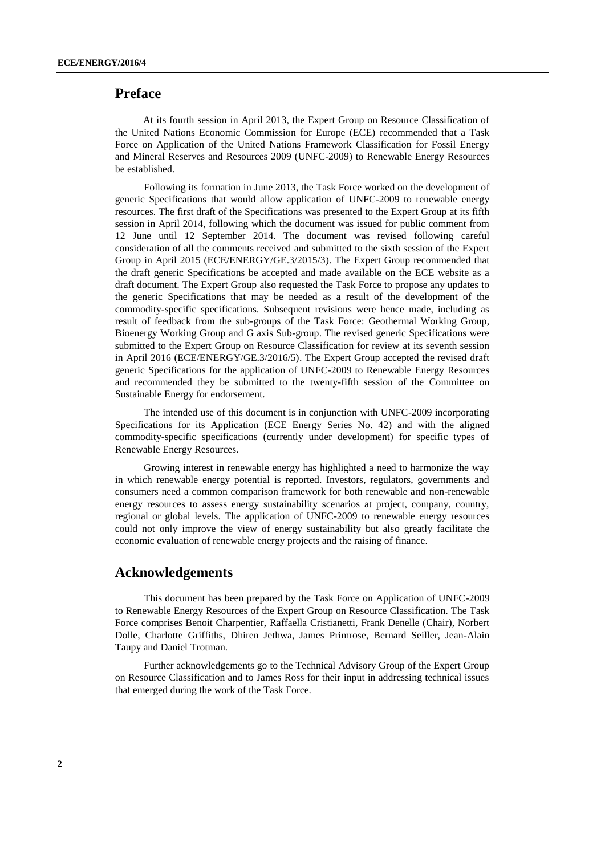# <span id="page-1-0"></span>**Preface**

At its fourth session in April 2013, the Expert Group on Resource Classification of the United Nations Economic Commission for Europe (ECE) recommended that a Task Force on Application of the United Nations Framework Classification for Fossil Energy and Mineral Reserves and Resources 2009 (UNFC-2009) to Renewable Energy Resources be established.

Following its formation in June 2013, the Task Force worked on the development of generic Specifications that would allow application of UNFC-2009 to renewable energy resources. The first draft of the Specifications was presented to the Expert Group at its fifth session in April 2014, following which the document was issued for public comment from 12 June until 12 September 2014. The document was revised following careful consideration of all the comments received and submitted to the sixth session of the Expert Group in April 2015 (ECE/ENERGY/GE.3/2015/3). The Expert Group recommended that the draft generic Specifications be accepted and made available on the ECE website as a draft document. The Expert Group also requested the Task Force to propose any updates to the generic Specifications that may be needed as a result of the development of the commodity-specific specifications. Subsequent revisions were hence made, including as result of feedback from the sub-groups of the Task Force: Geothermal Working Group, Bioenergy Working Group and G axis Sub-group. The revised generic Specifications were submitted to the Expert Group on Resource Classification for review at its seventh session in April 2016 (ECE/ENERGY/GE.3/2016/5). The Expert Group accepted the revised draft generic Specifications for the application of UNFC-2009 to Renewable Energy Resources and recommended they be submitted to the twenty-fifth session of the Committee on Sustainable Energy for endorsement.

The intended use of this document is in conjunction with UNFC-2009 incorporating Specifications for its Application (ECE Energy Series No. 42) and with the aligned commodity-specific specifications (currently under development) for specific types of Renewable Energy Resources.

Growing interest in renewable energy has highlighted a need to harmonize the way in which renewable energy potential is reported. Investors, regulators, governments and consumers need a common comparison framework for both renewable and non-renewable energy resources to assess energy sustainability scenarios at project, company, country, regional or global levels. The application of UNFC-2009 to renewable energy resources could not only improve the view of energy sustainability but also greatly facilitate the economic evaluation of renewable energy projects and the raising of finance.

# <span id="page-1-1"></span>**Acknowledgements**

This document has been prepared by the Task Force on Application of UNFC-2009 to Renewable Energy Resources of the Expert Group on Resource Classification. The Task Force comprises Benoit Charpentier, Raffaella Cristianetti, Frank Denelle (Chair), Norbert Dolle, Charlotte Griffiths, Dhiren Jethwa, James Primrose, Bernard Seiller, Jean-Alain Taupy and Daniel Trotman.

Further acknowledgements go to the Technical Advisory Group of the Expert Group on Resource Classification and to James Ross for their input in addressing technical issues that emerged during the work of the Task Force.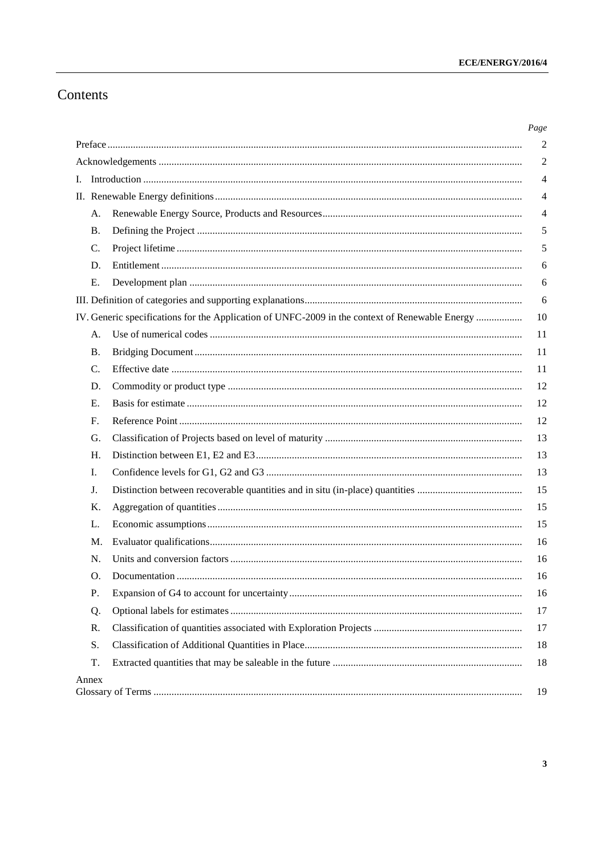# Contents

|    |                 |                                                                                                | Page           |
|----|-----------------|------------------------------------------------------------------------------------------------|----------------|
|    |                 |                                                                                                | $\overline{2}$ |
|    |                 |                                                                                                | 2              |
| Ι. |                 |                                                                                                | $\overline{4}$ |
|    |                 |                                                                                                | 4              |
|    | A.              |                                                                                                | 4              |
|    | Β.              |                                                                                                | 5              |
|    | $\mathcal{C}$ . |                                                                                                | 5              |
|    | D.              |                                                                                                | 6              |
|    | Е.              |                                                                                                | 6              |
|    |                 |                                                                                                | 6              |
|    |                 | IV. Generic specifications for the Application of UNFC-2009 in the context of Renewable Energy | 10             |
|    | A.              |                                                                                                | 11             |
|    | <b>B.</b>       |                                                                                                | 11             |
|    | $\mathcal{C}$ . |                                                                                                | 11             |
|    | D.              |                                                                                                | 12             |
|    | E.              |                                                                                                | 12             |
|    | F.              |                                                                                                | 12             |
|    | G.              |                                                                                                | 13             |
|    | H.              |                                                                                                | 13             |
|    | Ι.              |                                                                                                | 13             |
|    | J.              |                                                                                                | 15             |
|    | Κ.              |                                                                                                | 15             |
|    | L.              |                                                                                                | 15             |
|    | M.              |                                                                                                | 16             |
|    | N.              |                                                                                                | 16             |
|    | O.              |                                                                                                | 16             |
|    | P.              |                                                                                                | 16             |
|    | Q.              |                                                                                                | 17             |
|    | R.              |                                                                                                | 17             |
|    | S.              |                                                                                                | 18             |
|    | T.              |                                                                                                | 18             |
|    | Annex           |                                                                                                | 19             |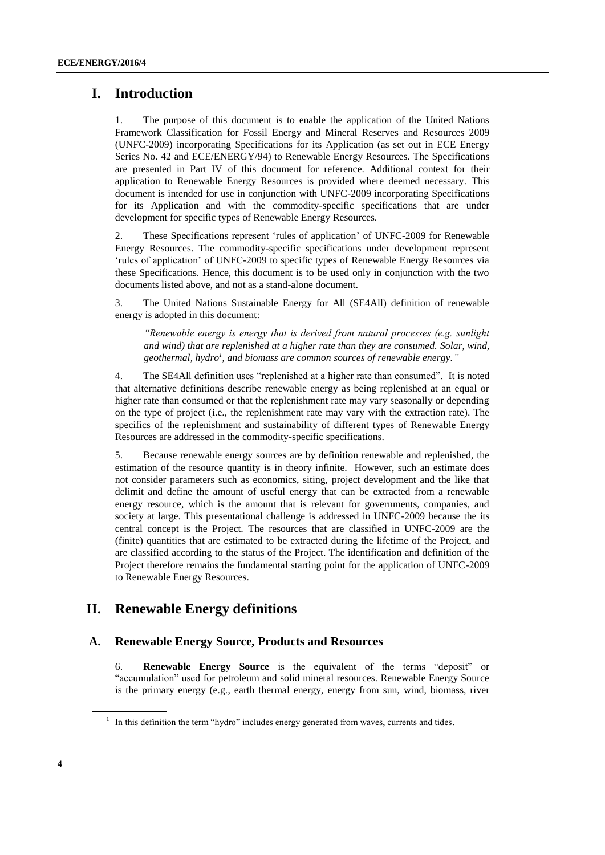# <span id="page-3-0"></span>**I. Introduction**

1. The purpose of this document is to enable the application of the United Nations Framework Classification for Fossil Energy and Mineral Reserves and Resources 2009 (UNFC-2009) incorporating Specifications for its Application (as set out in ECE Energy Series No. 42 and ECE/ENERGY/94) to Renewable Energy Resources. The Specifications are presented in Part IV of this document for reference. Additional context for their application to Renewable Energy Resources is provided where deemed necessary. This document is intended for use in conjunction with UNFC-2009 incorporating Specifications for its Application and with the commodity-specific specifications that are under development for specific types of Renewable Energy Resources.

2. These Specifications represent 'rules of application' of UNFC-2009 for Renewable Energy Resources. The commodity-specific specifications under development represent 'rules of application' of UNFC-2009 to specific types of Renewable Energy Resources via these Specifications. Hence, this document is to be used only in conjunction with the two documents listed above, and not as a stand-alone document.

3. The United Nations Sustainable Energy for All (SE4All) definition of renewable energy is adopted in this document:

*"Renewable energy is energy that is derived from natural processes (e.g. sunlight and wind) that are replenished at a higher rate than they are consumed. Solar, wind, geothermal, hydro<sup>1</sup> , and biomass are common sources of renewable energy."*

4. The SE4All definition uses "replenished at a higher rate than consumed". It is noted that alternative definitions describe renewable energy as being replenished at an equal or higher rate than consumed or that the replenishment rate may vary seasonally or depending on the type of project (i.e., the replenishment rate may vary with the extraction rate). The specifics of the replenishment and sustainability of different types of Renewable Energy Resources are addressed in the commodity-specific specifications.

5. Because renewable energy sources are by definition renewable and replenished, the estimation of the resource quantity is in theory infinite. However, such an estimate does not consider parameters such as economics, siting, project development and the like that delimit and define the amount of useful energy that can be extracted from a renewable energy resource, which is the amount that is relevant for governments, companies, and society at large. This presentational challenge is addressed in UNFC-2009 because the its central concept is the Project. The resources that are classified in UNFC-2009 are the (finite) quantities that are estimated to be extracted during the lifetime of the Project, and are classified according to the status of the Project. The identification and definition of the Project therefore remains the fundamental starting point for the application of UNFC-2009 to Renewable Energy Resources.

# <span id="page-3-1"></span>**II. Renewable Energy definitions**

### <span id="page-3-2"></span>**A. Renewable Energy Source, Products and Resources**

6. **Renewable Energy Source** is the equivalent of the terms "deposit" or "accumulation" used for petroleum and solid mineral resources. Renewable Energy Source is the primary energy (e.g., earth thermal energy, energy from sun, wind, biomass, river

 $<sup>1</sup>$  In this definition the term "hydro" includes energy generated from waves, currents and tides.</sup>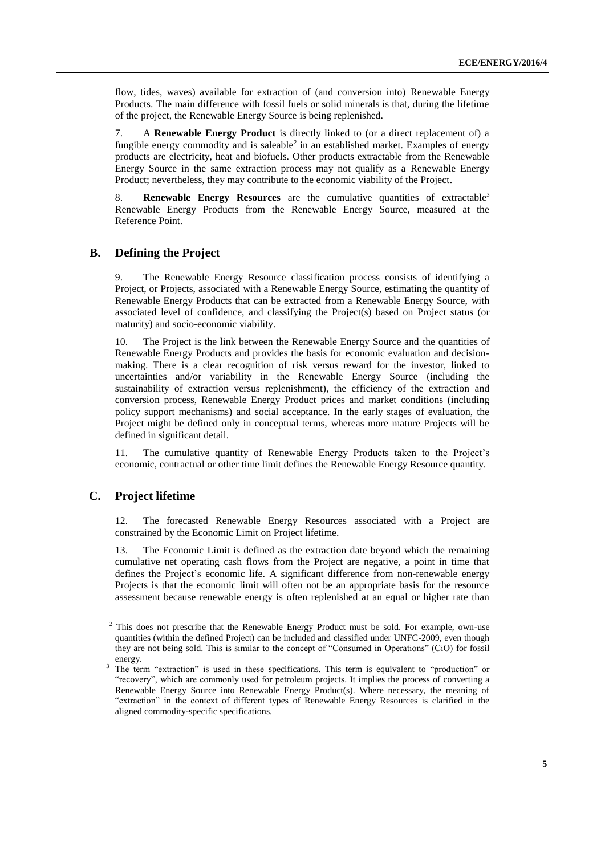flow, tides, waves) available for extraction of (and conversion into) Renewable Energy Products. The main difference with fossil fuels or solid minerals is that, during the lifetime of the project, the Renewable Energy Source is being replenished.

7. A **Renewable Energy Product** is directly linked to (or a direct replacement of) a fungible energy commodity and is saleable<sup>2</sup> in an established market. Examples of energy products are electricity, heat and biofuels. Other products extractable from the Renewable Energy Source in the same extraction process may not qualify as a Renewable Energy Product; nevertheless, they may contribute to the economic viability of the Project.

8. **Renewable Energy Resources** are the cumulative quantities of extractable<sup>3</sup> Renewable Energy Products from the Renewable Energy Source, measured at the Reference Point.

# <span id="page-4-0"></span>**B. Defining the Project**

9. The Renewable Energy Resource classification process consists of identifying a Project, or Projects, associated with a Renewable Energy Source, estimating the quantity of Renewable Energy Products that can be extracted from a Renewable Energy Source, with associated level of confidence, and classifying the Project(s) based on Project status (or maturity) and socio-economic viability.

10. The Project is the link between the Renewable Energy Source and the quantities of Renewable Energy Products and provides the basis for economic evaluation and decisionmaking. There is a clear recognition of risk versus reward for the investor, linked to uncertainties and/or variability in the Renewable Energy Source (including the sustainability of extraction versus replenishment), the efficiency of the extraction and conversion process, Renewable Energy Product prices and market conditions (including policy support mechanisms) and social acceptance. In the early stages of evaluation, the Project might be defined only in conceptual terms, whereas more mature Projects will be defined in significant detail.

11. The cumulative quantity of Renewable Energy Products taken to the Project's economic, contractual or other time limit defines the Renewable Energy Resource quantity.

# <span id="page-4-1"></span>**C. Project lifetime**

12. The forecasted Renewable Energy Resources associated with a Project are constrained by the Economic Limit on Project lifetime.

13. The Economic Limit is defined as the extraction date beyond which the remaining cumulative net operating cash flows from the Project are negative, a point in time that defines the Project's economic life. A significant difference from non-renewable energy Projects is that the economic limit will often not be an appropriate basis for the resource assessment because renewable energy is often replenished at an equal or higher rate than

<sup>&</sup>lt;sup>2</sup> This does not prescribe that the Renewable Energy Product must be sold. For example, own-use quantities (within the defined Project) can be included and classified under UNFC-2009, even though they are not being sold. This is similar to the concept of "Consumed in Operations" (CiO) for fossil energy.

<sup>&</sup>lt;sup>3</sup> The term "extraction" is used in these specifications. This term is equivalent to "production" or "recovery", which are commonly used for petroleum projects. It implies the process of converting a Renewable Energy Source into Renewable Energy Product(s). Where necessary, the meaning of "extraction" in the context of different types of Renewable Energy Resources is clarified in the aligned commodity-specific specifications.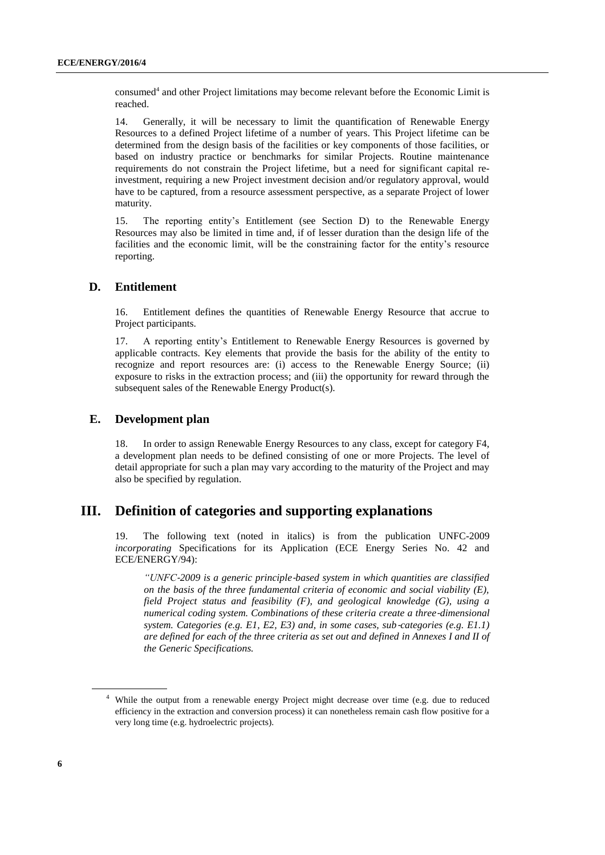consumed<sup>4</sup> and other Project limitations may become relevant before the Economic Limit is reached.

14. Generally, it will be necessary to limit the quantification of Renewable Energy Resources to a defined Project lifetime of a number of years. This Project lifetime can be determined from the design basis of the facilities or key components of those facilities, or based on industry practice or benchmarks for similar Projects. Routine maintenance requirements do not constrain the Project lifetime, but a need for significant capital reinvestment, requiring a new Project investment decision and/or regulatory approval, would have to be captured, from a resource assessment perspective, as a separate Project of lower maturity.

15. The reporting entity's Entitlement (see Section D) to the Renewable Energy Resources may also be limited in time and, if of lesser duration than the design life of the facilities and the economic limit, will be the constraining factor for the entity's resource reporting.

#### <span id="page-5-0"></span>**D. Entitlement**

16. Entitlement defines the quantities of Renewable Energy Resource that accrue to Project participants.

17. A reporting entity's Entitlement to Renewable Energy Resources is governed by applicable contracts. Key elements that provide the basis for the ability of the entity to recognize and report resources are: (i) access to the Renewable Energy Source; (ii) exposure to risks in the extraction process; and (iii) the opportunity for reward through the subsequent sales of the Renewable Energy Product(s).

#### <span id="page-5-1"></span>**E. Development plan**

18. In order to assign Renewable Energy Resources to any class, except for category F4, a development plan needs to be defined consisting of one or more Projects. The level of detail appropriate for such a plan may vary according to the maturity of the Project and may also be specified by regulation.

# <span id="page-5-2"></span>**III. Definition of categories and supporting explanations**

19. The following text (noted in italics) is from the publication UNFC-2009 *incorporating* Specifications for its Application (ECE Energy Series No. 42 and ECE/ENERGY/94):

*"UNFC*‐*2009 is a generic principle*‐*based system in which quantities are classified on the basis of the three fundamental criteria of economic and social viability (E), field Project status and feasibility (F), and geological knowledge (G), using a numerical coding system. Combinations of these criteria create a three*‐*dimensional system. Categories (e.g. E1, E2, E3) and, in some cases, sub*‐*categories (e.g. E1.1) are defined for each of the three criteria as set out and defined in Annexes I and II of the Generic Specifications.*

<sup>4</sup> While the output from a renewable energy Project might decrease over time (e.g. due to reduced efficiency in the extraction and conversion process) it can nonetheless remain cash flow positive for a very long time (e.g. hydroelectric projects).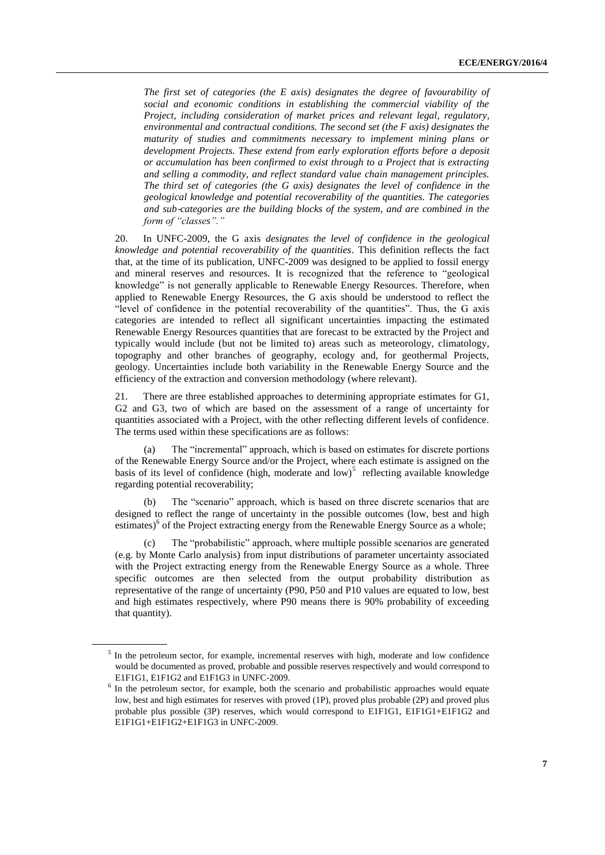*The first set of categories (the E axis) designates the degree of favourability of social and economic conditions in establishing the commercial viability of the Project, including consideration of market prices and relevant legal, regulatory, environmental and contractual conditions. The second set (the F axis) designates the maturity of studies and commitments necessary to implement mining plans or development Projects. These extend from early exploration efforts before a deposit or accumulation has been confirmed to exist through to a Project that is extracting and selling a commodity, and reflect standard value chain management principles. The third set of categories (the G axis) designates the level of confidence in the geological knowledge and potential recoverability of the quantities. The categories and sub*‐*categories are the building blocks of the system, and are combined in the form of "classes"."*

20. In UNFC-2009, the G axis *designates the level of confidence in the geological knowledge and potential recoverability of the quantities*. This definition reflects the fact that, at the time of its publication, UNFC-2009 was designed to be applied to fossil energy and mineral reserves and resources. It is recognized that the reference to "geological knowledge" is not generally applicable to Renewable Energy Resources. Therefore, when applied to Renewable Energy Resources, the G axis should be understood to reflect the "level of confidence in the potential recoverability of the quantities". Thus, the G axis categories are intended to reflect all significant uncertainties impacting the estimated Renewable Energy Resources quantities that are forecast to be extracted by the Project and typically would include (but not be limited to) areas such as meteorology, climatology, topography and other branches of geography, ecology and, for geothermal Projects, geology. Uncertainties include both variability in the Renewable Energy Source and the efficiency of the extraction and conversion methodology (where relevant).

21. There are three established approaches to determining appropriate estimates for G1, G2 and G3, two of which are based on the assessment of a range of uncertainty for quantities associated with a Project, with the other reflecting different levels of confidence. The terms used within these specifications are as follows:

The "incremental" approach, which is based on estimates for discrete portions of the Renewable Energy Source and/or the Project, where each estimate is assigned on the basis of its level of confidence (high, moderate and  $low$ )<sup>5</sup> reflecting available knowledge regarding potential recoverability;

(b) The "scenario" approach, which is based on three discrete scenarios that are designed to reflect the range of uncertainty in the possible outcomes (low, best and high estimates)<sup>6</sup> of the Project extracting energy from the Renewable Energy Source as a whole;

The "probabilistic" approach, where multiple possible scenarios are generated (e.g. by Monte Carlo analysis) from input distributions of parameter uncertainty associated with the Project extracting energy from the Renewable Energy Source as a whole. Three specific outcomes are then selected from the output probability distribution as representative of the range of uncertainty (P90, P50 and P10 values are equated to low, best and high estimates respectively, where P90 means there is 90% probability of exceeding that quantity).

<sup>&</sup>lt;sup>5</sup> In the petroleum sector, for example, incremental reserves with high, moderate and low confidence would be documented as proved, probable and possible reserves respectively and would correspond to E1F1G1, E1F1G2 and E1F1G3 in UNFC-2009.

<sup>&</sup>lt;sup>6</sup> In the petroleum sector, for example, both the scenario and probabilistic approaches would equate low, best and high estimates for reserves with proved (1P), proved plus probable (2P) and proved plus probable plus possible (3P) reserves, which would correspond to E1F1G1, E1F1G1+E1F1G2 and E1F1G1+E1F1G2+E1F1G3 in UNFC-2009.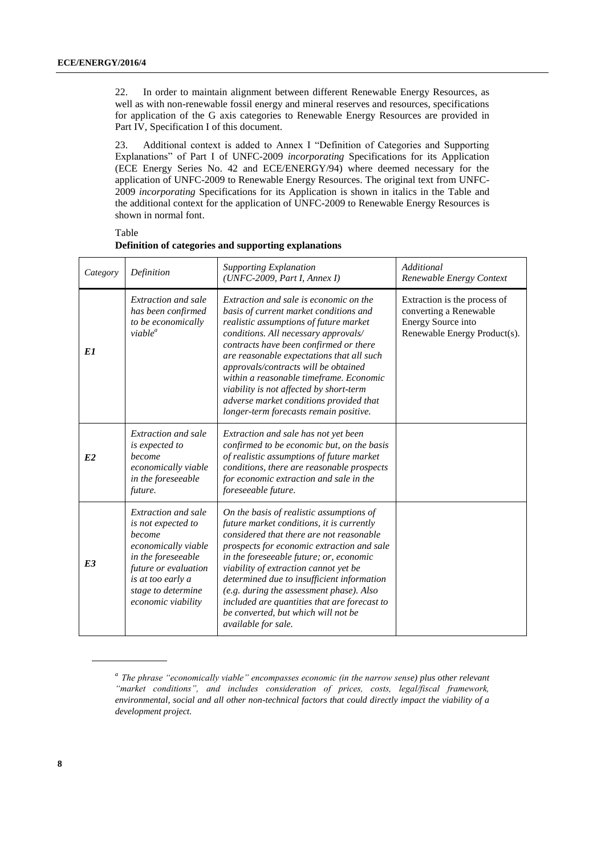22. In order to maintain alignment between different Renewable Energy Resources, as well as with non-renewable fossil energy and mineral reserves and resources, specifications for application of the G axis categories to Renewable Energy Resources are provided in Part IV, Specification I of this document.

23. Additional context is added to Annex I "Definition of Categories and Supporting Explanations" of Part I of UNFC-2009 *incorporating* Specifications for its Application (ECE Energy Series No. 42 and ECE/ENERGY/94) where deemed necessary for the application of UNFC-2009 to Renewable Energy Resources. The original text from UNFC-2009 *incorporating* Specifications for its Application is shown in italics in the Table and the additional context for the application of UNFC-2009 to Renewable Energy Resources is shown in normal font.

Table

| Category | Definition                                                                                                                                                                                | <b>Supporting Explanation</b><br>$(UNFC-2009, Part I, Annex I)$                                                                                                                                                                                                                                                                                                                                                                                                              | Additional<br>Renewable Energy Context                                                                       |
|----------|-------------------------------------------------------------------------------------------------------------------------------------------------------------------------------------------|------------------------------------------------------------------------------------------------------------------------------------------------------------------------------------------------------------------------------------------------------------------------------------------------------------------------------------------------------------------------------------------------------------------------------------------------------------------------------|--------------------------------------------------------------------------------------------------------------|
| E1       | Extraction and sale<br>has been confirmed<br>to be economically<br>$viable^a$                                                                                                             | Extraction and sale is economic on the<br>basis of current market conditions and<br>realistic assumptions of future market<br>conditions. All necessary approvals/<br>contracts have been confirmed or there<br>are reasonable expectations that all such<br>approvals/contracts will be obtained<br>within a reasonable timeframe. Economic<br>viability is not affected by short-term<br>adverse market conditions provided that<br>longer-term forecasts remain positive. | Extraction is the process of<br>converting a Renewable<br>Energy Source into<br>Renewable Energy Product(s). |
| E2       | Extraction and sale<br>is expected to<br>become<br>economically viable<br>in the foreseeable<br>future.                                                                                   | Extraction and sale has not yet been<br>confirmed to be economic but, on the basis<br>of realistic assumptions of future market<br>conditions, there are reasonable prospects<br>for economic extraction and sale in the<br>foreseeable future.                                                                                                                                                                                                                              |                                                                                                              |
| E3       | Extraction and sale<br>is not expected to<br>become<br>economically viable<br>in the foreseeable<br>future or evaluation<br>is at too early a<br>stage to determine<br>economic viability | On the basis of realistic assumptions of<br>future market conditions, it is currently<br>considered that there are not reasonable<br>prospects for economic extraction and sale<br>in the foreseeable future; or, economic<br>viability of extraction cannot yet be<br>determined due to insufficient information<br>(e.g. during the assessment phase). Also<br>included are quantities that are forecast to<br>be converted, but which will not be<br>available for sale.  |                                                                                                              |

**Definition of categories and supporting explanations**

*<sup>a</sup>The phrase "economically viable" encompasses economic (in the narrow sense) plus other relevant "market conditions", and includes consideration of prices, costs, legal/fiscal framework, environmental, social and all other non-technical factors that could directly impact the viability of a development project.*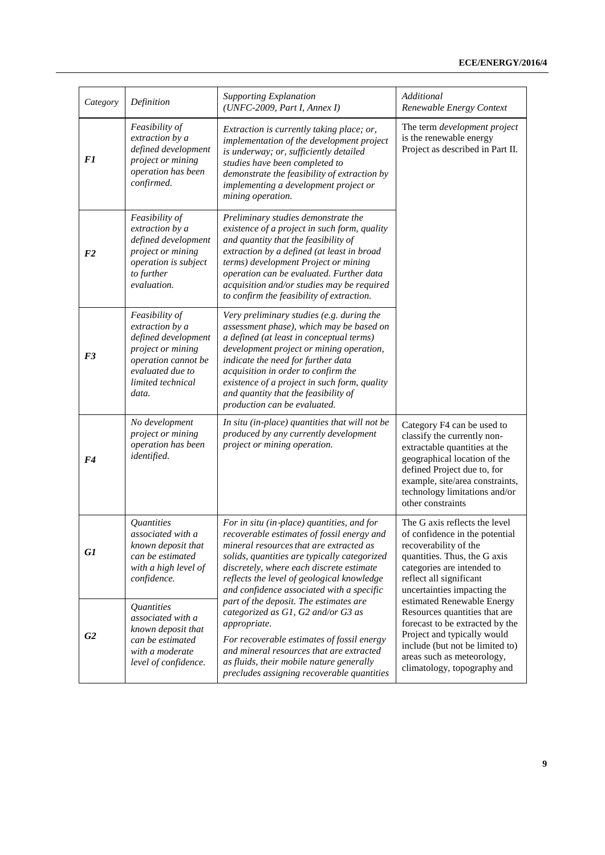| Category       | Definition                                                                                                                                             | <b>Supporting Explanation</b><br>$(UNFC-2009, Part I, Annex I)$                                                                                                                                                                                                                                                                                                                    | Additional<br>Renewable Energy Context                                                                                                                                                                                                             |
|----------------|--------------------------------------------------------------------------------------------------------------------------------------------------------|------------------------------------------------------------------------------------------------------------------------------------------------------------------------------------------------------------------------------------------------------------------------------------------------------------------------------------------------------------------------------------|----------------------------------------------------------------------------------------------------------------------------------------------------------------------------------------------------------------------------------------------------|
| F <sub>1</sub> | Feasibility of<br>extraction by a<br>defined development<br>project or mining<br>operation has been<br>confirmed.                                      | Extraction is currently taking place; or,<br>implementation of the development project<br>is underway; or, sufficiently detailed<br>studies have been completed to<br>demonstrate the feasibility of extraction by<br>implementing a development project or<br>mining operation.                                                                                                   | The term development project<br>is the renewable energy<br>Project as described in Part II.                                                                                                                                                        |
| F <sub>2</sub> | Feasibility of<br>extraction by a<br>defined development<br>project or mining<br>operation is subject<br>to further<br>evaluation.                     | Preliminary studies demonstrate the<br>existence of a project in such form, quality<br>and quantity that the feasibility of<br>extraction by a defined (at least in broad<br>terms) development Project or mining<br>operation can be evaluated. Further data<br>acquisition and/or studies may be required<br>to confirm the feasibility of extraction.                           |                                                                                                                                                                                                                                                    |
| F <sub>3</sub> | Feasibility of<br>extraction by a<br>defined development<br>project or mining<br>operation cannot be<br>evaluated due to<br>limited technical<br>data. | Very preliminary studies (e.g. during the<br>assessment phase), which may be based on<br>a defined (at least in conceptual terms)<br>development project or mining operation,<br>indicate the need for further data<br>acquisition in order to confirm the<br>existence of a project in such form, quality<br>and quantity that the feasibility of<br>production can be evaluated. |                                                                                                                                                                                                                                                    |
| F <sub>4</sub> | No development<br>project or mining<br>operation has been<br>identified.                                                                               | In situ (in-place) quantities that will not be<br>produced by any currently development<br>project or mining operation.                                                                                                                                                                                                                                                            | Category F4 can be used to<br>classify the currently non-<br>extractable quantities at the<br>geographical location of the<br>defined Project due to, for<br>example, site/area constraints,<br>technology limitations and/or<br>other constraints |
| G1             | <i>Quantities</i><br>associated with a<br>known deposit that<br>can be estimated<br>with a high level of<br>confidence.                                | For in situ (in-place) quantities, and for<br>recoverable estimates of fossil energy and<br>mineral resources that are extracted as<br>solids, quantities are typically categorized<br>discretely, where each discrete estimate<br>reflects the level of geological knowledge<br>and confidence associated with a specific                                                         | The G axis reflects the level<br>of confidence in the potential<br>recoverability of the<br>quantities. Thus, the G axis<br>categories are intended to<br>reflect all significant<br>uncertainties impacting the                                   |
| G2             | Quantities<br>associated with a<br>known deposit that<br>can be estimated<br>with a moderate<br>level of confidence.                                   | part of the deposit. The estimates are<br>categorized as G1, G2 and/or G3 as<br><i>appropriate.</i><br>For recoverable estimates of fossil energy<br>and mineral resources that are extracted<br>as fluids, their mobile nature generally<br>precludes assigning recoverable quantities                                                                                            | estimated Renewable Energy<br>Resources quantities that are<br>forecast to be extracted by the<br>Project and typically would<br>include (but not be limited to)<br>areas such as meteorology,<br>climatology, topography and                      |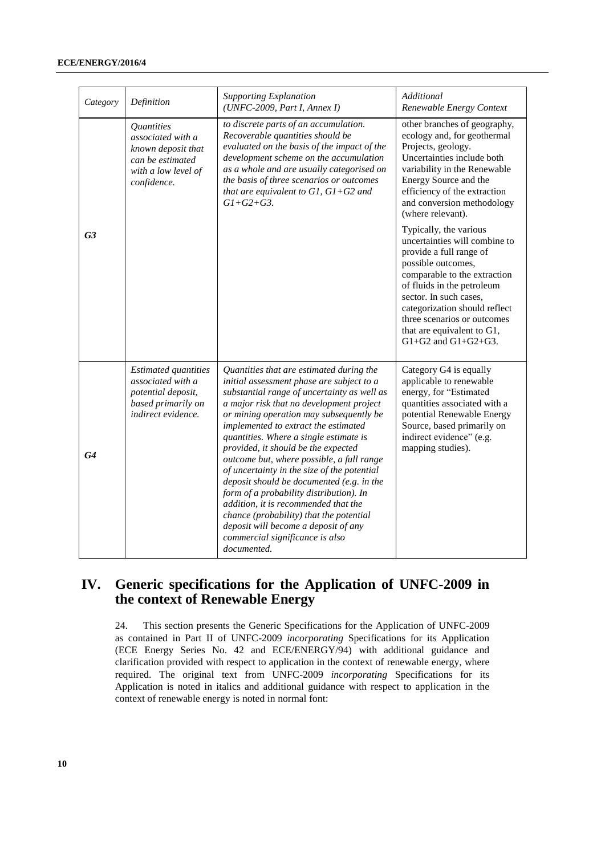#### **ECE/ENERGY/2016/4**

| Category       | Definition                                                                                                                    | <b>Supporting Explanation</b><br>$(UNFC-2009, Part I, Annex I)$                                                                                                                                                                                                                                                                                                                                                                                                                                                                                                                                                                                                                                                       | Additional<br>Renewable Energy Context                                                                                                                                                                                                                                                                                     |
|----------------|-------------------------------------------------------------------------------------------------------------------------------|-----------------------------------------------------------------------------------------------------------------------------------------------------------------------------------------------------------------------------------------------------------------------------------------------------------------------------------------------------------------------------------------------------------------------------------------------------------------------------------------------------------------------------------------------------------------------------------------------------------------------------------------------------------------------------------------------------------------------|----------------------------------------------------------------------------------------------------------------------------------------------------------------------------------------------------------------------------------------------------------------------------------------------------------------------------|
|                | <i><b>Quantities</b></i><br>associated with a<br>known deposit that<br>can be estimated<br>with a low level of<br>confidence. | to discrete parts of an accumulation.<br>Recoverable quantities should be<br>evaluated on the basis of the impact of the<br>development scheme on the accumulation<br>as a whole and are usually categorised on<br>the basis of three scenarios or outcomes<br>that are equivalent to $GI$ , $GI+G2$ and<br>$G1 + G2 + G3$ .                                                                                                                                                                                                                                                                                                                                                                                          | other branches of geography,<br>ecology and, for geothermal<br>Projects, geology.<br>Uncertainties include both<br>variability in the Renewable<br>Energy Source and the<br>efficiency of the extraction<br>and conversion methodology<br>(where relevant).                                                                |
| G <sub>3</sub> |                                                                                                                               |                                                                                                                                                                                                                                                                                                                                                                                                                                                                                                                                                                                                                                                                                                                       | Typically, the various<br>uncertainties will combine to<br>provide a full range of<br>possible outcomes,<br>comparable to the extraction<br>of fluids in the petroleum<br>sector. In such cases,<br>categorization should reflect<br>three scenarios or outcomes<br>that are equivalent to G1,<br>$G1+G2$ and $G1+G2+G3$ . |
| G4             | <b>Estimated quantities</b><br>associated with a<br>potential deposit,<br>based primarily on<br>indirect evidence.            | Quantities that are estimated during the<br>initial assessment phase are subject to a<br>substantial range of uncertainty as well as<br>a major risk that no development project<br>or mining operation may subsequently be<br>implemented to extract the estimated<br>quantities. Where a single estimate is<br>provided, it should be the expected<br>outcome but, where possible, a full range<br>of uncertainty in the size of the potential<br>deposit should be documented (e.g. in the<br>form of a probability distribution). In<br>addition, it is recommended that the<br>chance (probability) that the potential<br>deposit will become a deposit of any<br>commercial significance is also<br>documented. | Category G4 is equally<br>applicable to renewable<br>energy, for "Estimated<br>quantities associated with a<br>potential Renewable Energy<br>Source, based primarily on<br>indirect evidence" (e.g.<br>mapping studies).                                                                                                   |

# <span id="page-9-0"></span>**IV. Generic specifications for the Application of UNFC-2009 in the context of Renewable Energy**

24. This section presents the Generic Specifications for the Application of UNFC-2009 as contained in Part II of UNFC-2009 *incorporating* Specifications for its Application (ECE Energy Series No. 42 and ECE/ENERGY/94) with additional guidance and clarification provided with respect to application in the context of renewable energy, where required. The original text from UNFC-2009 *incorporating* Specifications for its Application is noted in italics and additional guidance with respect to application in the context of renewable energy is noted in normal font: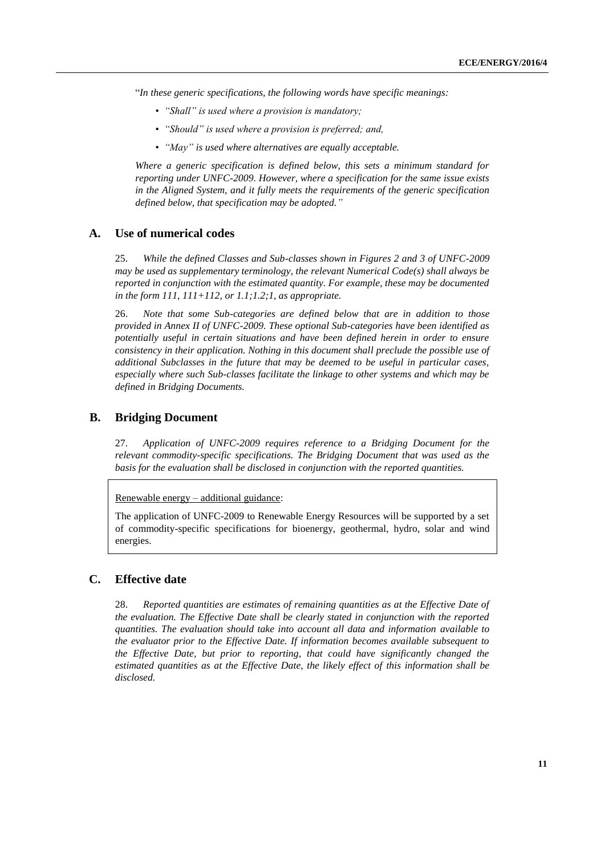"*In these generic specifications, the following words have specific meanings:*

- *"Shall" is used where a provision is mandatory;*
- *"Should" is used where a provision is preferred; and,*
- *"May" is used where alternatives are equally acceptable.*

*Where a generic specification is defined below, this sets a minimum standard for reporting under UNFC-2009. However, where a specification for the same issue exists in the Aligned System, and it fully meets the requirements of the generic specification defined below, that specification may be adopted."*

#### <span id="page-10-0"></span>**A. Use of numerical codes**

25. *While the defined Classes and Sub-classes shown in Figures 2 and 3 of UNFC-2009 may be used as supplementary terminology, the relevant Numerical Code(s) shall always be reported in conjunction with the estimated quantity. For example, these may be documented in the form 111, 111+112, or 1.1;1.2;1, as appropriate.*

26. *Note that some Sub-categories are defined below that are in addition to those provided in Annex II of UNFC-2009. These optional Sub-categories have been identified as potentially useful in certain situations and have been defined herein in order to ensure consistency in their application. Nothing in this document shall preclude the possible use of additional Subclasses in the future that may be deemed to be useful in particular cases, especially where such Sub-classes facilitate the linkage to other systems and which may be defined in Bridging Documents.*

# <span id="page-10-1"></span>**B. Bridging Document**

27. *Application of UNFC-2009 requires reference to a Bridging Document for the relevant commodity-specific specifications. The Bridging Document that was used as the basis for the evaluation shall be disclosed in conjunction with the reported quantities.*

Renewable energy – additional guidance:

The application of UNFC-2009 to Renewable Energy Resources will be supported by a set of commodity-specific specifications for bioenergy, geothermal, hydro, solar and wind energies.

# <span id="page-10-2"></span>**C. Effective date**

28. *Reported quantities are estimates of remaining quantities as at the Effective Date of the evaluation. The Effective Date shall be clearly stated in conjunction with the reported quantities. The evaluation should take into account all data and information available to the evaluator prior to the Effective Date. If information becomes available subsequent to the Effective Date, but prior to reporting, that could have significantly changed the estimated quantities as at the Effective Date, the likely effect of this information shall be disclosed.*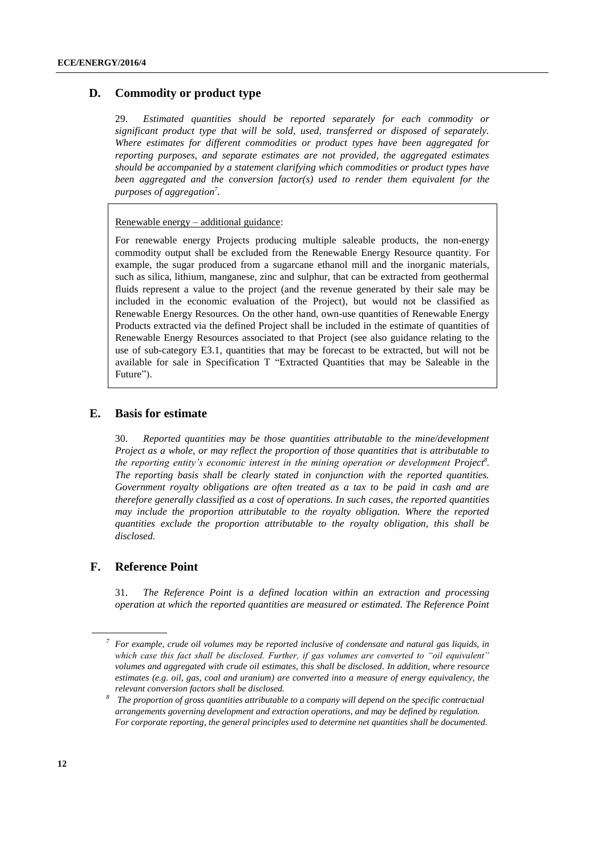# <span id="page-11-0"></span>**D. Commodity or product type**

29. *Estimated quantities should be reported separately for each commodity or significant product type that will be sold, used, transferred or disposed of separately. Where estimates for different commodities or product types have been aggregated for reporting purposes, and separate estimates are not provided, the aggregated estimates should be accompanied by a statement clarifying which commodities or product types have been aggregated and the conversion factor(s) used to render them equivalent for the purposes of aggregation<sup>7</sup> .*

Renewable energy – additional guidance:

For renewable energy Projects producing multiple saleable products, the non-energy commodity output shall be excluded from the Renewable Energy Resource quantity. For example, the sugar produced from a sugarcane ethanol mill and the inorganic materials, such as silica, lithium, manganese, zinc and sulphur, that can be extracted from geothermal fluids represent a value to the project (and the revenue generated by their sale may be included in the economic evaluation of the Project), but would not be classified as Renewable Energy Resources. On the other hand, own-use quantities of Renewable Energy Products extracted via the defined Project shall be included in the estimate of quantities of Renewable Energy Resources associated to that Project (see also guidance relating to the use of sub-category E3.1, quantities that may be forecast to be extracted, but will not be available for sale in Specification T "Extracted Quantities that may be Saleable in the Future").

#### <span id="page-11-1"></span>**E. Basis for estimate**

30. *Reported quantities may be those quantities attributable to the mine/development Project as a whole, or may reflect the proportion of those quantities that is attributable to the reporting entity's economic interest in the mining operation or development Project<sup>8</sup> . The reporting basis shall be clearly stated in conjunction with the reported quantities. Government royalty obligations are often treated as a tax to be paid in cash and are therefore generally classified as a cost of operations. In such cases, the reported quantities may include the proportion attributable to the royalty obligation. Where the reported quantities exclude the proportion attributable to the royalty obligation, this shall be disclosed.*

#### <span id="page-11-2"></span>**F. Reference Point**

31. *The Reference Point is a defined location within an extraction and processing operation at which the reported quantities are measured or estimated. The Reference Point* 

*<sup>7</sup> For example, crude oil volumes may be reported inclusive of condensate and natural gas liquids, in which case this fact shall be disclosed. Further, if gas volumes are converted to "oil equivalent" volumes and aggregated with crude oil estimates, this shall be disclosed. In addition, where resource estimates (e.g. oil, gas, coal and uranium) are converted into a measure of energy equivalency, the relevant conversion factors shall be disclosed.*

*<sup>8</sup> The proportion of gross quantities attributable to a company will depend on the specific contractual arrangements governing development and extraction operations, and may be defined by regulation. For corporate reporting, the general principles used to determine net quantities shall be documented.*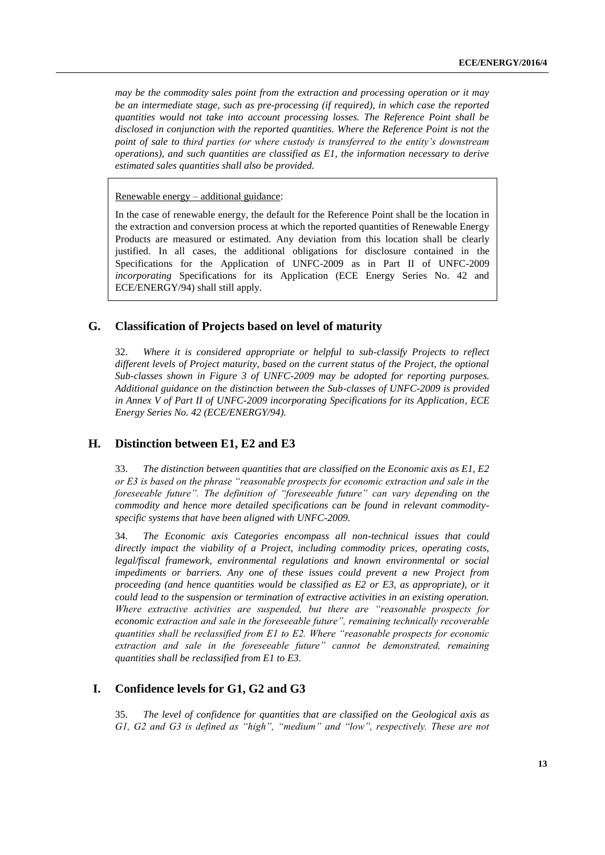*may be the commodity sales point from the extraction and processing operation or it may be an intermediate stage, such as pre-processing (if required), in which case the reported quantities would not take into account processing losses. The Reference Point shall be disclosed in conjunction with the reported quantities. Where the Reference Point is not the point of sale to third parties (or where custody is transferred to the entity's downstream operations), and such quantities are classified as E1, the information necessary to derive estimated sales quantities shall also be provided.*

Renewable energy – additional guidance:

In the case of renewable energy, the default for the Reference Point shall be the location in the extraction and conversion process at which the reported quantities of Renewable Energy Products are measured or estimated. Any deviation from this location shall be clearly justified. In all cases, the additional obligations for disclosure contained in the Specifications for the Application of UNFC-2009 as in Part II of UNFC-2009 *incorporating* Specifications for its Application (ECE Energy Series No. 42 and ECE/ENERGY/94) shall still apply.

# <span id="page-12-0"></span>**G. Classification of Projects based on level of maturity**

32. *Where it is considered appropriate or helpful to sub-classify Projects to reflect different levels of Project maturity, based on the current status of the Project, the optional Sub-classes shown in Figure 3 of UNFC-2009 may be adopted for reporting purposes. Additional guidance on the distinction between the Sub-classes of UNFC-2009 is provided in Annex V of Part II of UNFC-2009 incorporating Specifications for its Application, ECE Energy Series No. 42 (ECE/ENERGY/94).*

# <span id="page-12-1"></span>**H. Distinction between E1, E2 and E3**

33. *The distinction between quantities that are classified on the Economic axis as E1, E2 or E3 is based on the phrase "reasonable prospects for economic extraction and sale in the foreseeable future". The definition of "foreseeable future" can vary depending on the commodity and hence more detailed specifications can be found in relevant commodityspecific systems that have been aligned with UNFC-2009.*

34. *The Economic axis Categories encompass all non-technical issues that could directly impact the viability of a Project, including commodity prices, operating costs, legal/fiscal framework, environmental regulations and known environmental or social impediments or barriers. Any one of these issues could prevent a new Project from proceeding (and hence quantities would be classified as E2 or E3, as appropriate), or it could lead to the suspension or termination of extractive activities in an existing operation. Where extractive activities are suspended, but there are "reasonable prospects for economic extraction and sale in the foreseeable future", remaining technically recoverable quantities shall be reclassified from E1 to E2. Where "reasonable prospects for economic extraction and sale in the foreseeable future" cannot be demonstrated, remaining quantities shall be reclassified from E1 to E3.*

# <span id="page-12-2"></span>**I. Confidence levels for G1, G2 and G3**

35. *The level of confidence for quantities that are classified on the Geological axis as G1, G2 and G3 is defined as "high", "medium" and "low", respectively. These are not*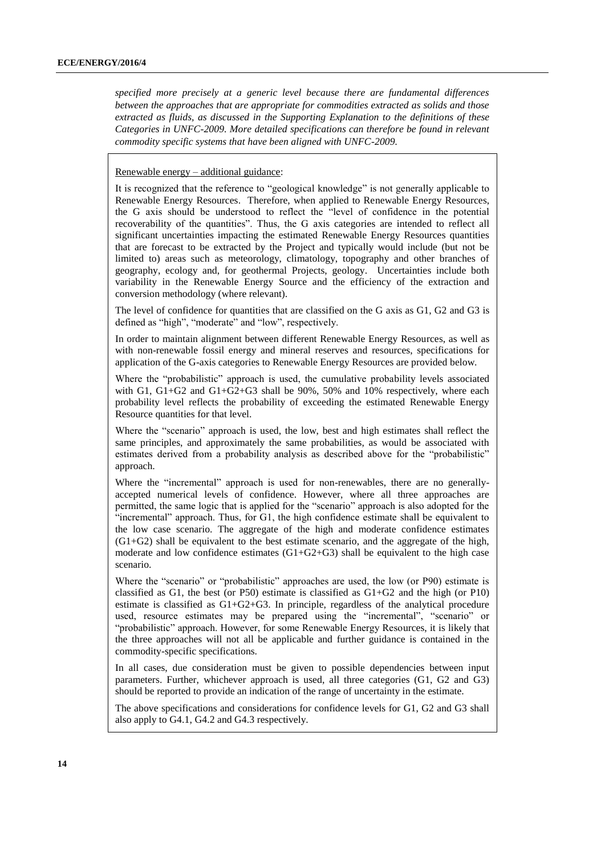*specified more precisely at a generic level because there are fundamental differences between the approaches that are appropriate for commodities extracted as solids and those extracted as fluids, as discussed in the Supporting Explanation to the definitions of these Categories in UNFC-2009. More detailed specifications can therefore be found in relevant commodity specific systems that have been aligned with UNFC-2009.*

Renewable energy – additional guidance:

It is recognized that the reference to "geological knowledge" is not generally applicable to Renewable Energy Resources. Therefore, when applied to Renewable Energy Resources, the G axis should be understood to reflect the "level of confidence in the potential recoverability of the quantities". Thus, the G axis categories are intended to reflect all significant uncertainties impacting the estimated Renewable Energy Resources quantities that are forecast to be extracted by the Project and typically would include (but not be limited to) areas such as meteorology, climatology, topography and other branches of geography, ecology and, for geothermal Projects, geology. Uncertainties include both variability in the Renewable Energy Source and the efficiency of the extraction and conversion methodology (where relevant).

The level of confidence for quantities that are classified on the G axis as G1, G2 and G3 is defined as "high", "moderate" and "low", respectively.

In order to maintain alignment between different Renewable Energy Resources, as well as with non-renewable fossil energy and mineral reserves and resources, specifications for application of the G-axis categories to Renewable Energy Resources are provided below.

Where the "probabilistic" approach is used, the cumulative probability levels associated with G1,  $G1+G2$  and  $G1+G2+G3$  shall be 90%, 50% and 10% respectively, where each probability level reflects the probability of exceeding the estimated Renewable Energy Resource quantities for that level.

Where the "scenario" approach is used, the low, best and high estimates shall reflect the same principles, and approximately the same probabilities, as would be associated with estimates derived from a probability analysis as described above for the "probabilistic" approach.

Where the "incremental" approach is used for non-renewables, there are no generallyaccepted numerical levels of confidence. However, where all three approaches are permitted, the same logic that is applied for the "scenario" approach is also adopted for the "incremental" approach. Thus, for G1, the high confidence estimate shall be equivalent to the low case scenario. The aggregate of the high and moderate confidence estimates (G1+G2) shall be equivalent to the best estimate scenario, and the aggregate of the high, moderate and low confidence estimates  $(G1+G2+G3)$  shall be equivalent to the high case scenario.

Where the "scenario" or "probabilistic" approaches are used, the low (or P90) estimate is classified as  $G1$ , the best (or P50) estimate is classified as  $G1+G2$  and the high (or P10) estimate is classified as G1+G2+G3. In principle, regardless of the analytical procedure used, resource estimates may be prepared using the "incremental", "scenario" or "probabilistic" approach. However, for some Renewable Energy Resources, it is likely that the three approaches will not all be applicable and further guidance is contained in the commodity-specific specifications.

In all cases, due consideration must be given to possible dependencies between input parameters. Further, whichever approach is used, all three categories (G1, G2 and G3) should be reported to provide an indication of the range of uncertainty in the estimate.

The above specifications and considerations for confidence levels for G1, G2 and G3 shall also apply to G4.1, G4.2 and G4.3 respectively.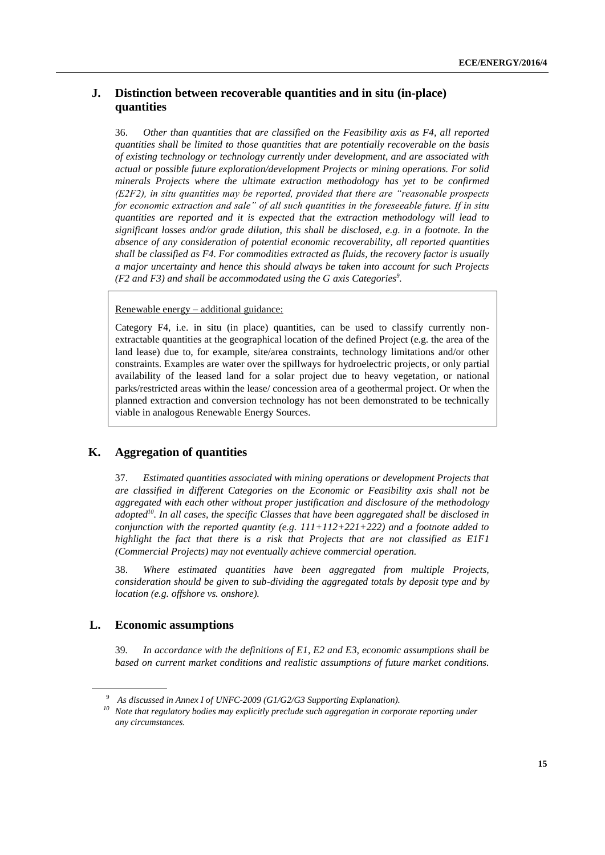# <span id="page-14-0"></span>**J. Distinction between recoverable quantities and in situ (in-place) quantities**

36. *Other than quantities that are classified on the Feasibility axis as F4, all reported quantities shall be limited to those quantities that are potentially recoverable on the basis of existing technology or technology currently under development, and are associated with actual or possible future exploration/development Projects or mining operations. For solid minerals Projects where the ultimate extraction methodology has yet to be confirmed (E2F2), in situ quantities may be reported, provided that there are "reasonable prospects for economic extraction and sale" of all such quantities in the foreseeable future. If in situ quantities are reported and it is expected that the extraction methodology will lead to significant losses and/or grade dilution, this shall be disclosed, e.g. in a footnote. In the absence of any consideration of potential economic recoverability, all reported quantities shall be classified as F4. For commodities extracted as fluids, the recovery factor is usually a major uncertainty and hence this should always be taken into account for such Projects (F2 and F3) and shall be accommodated using the G axis Categories<sup>9</sup> .*

#### Renewable energy – additional guidance:

Category F4, i.e. in situ (in place) quantities, can be used to classify currently nonextractable quantities at the geographical location of the defined Project (e.g. the area of the land lease) due to, for example, site/area constraints, technology limitations and/or other constraints. Examples are water over the spillways for hydroelectric projects, or only partial availability of the leased land for a solar project due to heavy vegetation, or national parks/restricted areas within the lease/ concession area of a geothermal project. Or when the planned extraction and conversion technology has not been demonstrated to be technically viable in analogous Renewable Energy Sources.

# <span id="page-14-1"></span>**K. Aggregation of quantities**

37. *Estimated quantities associated with mining operations or development Projects that are classified in different Categories on the Economic or Feasibility axis shall not be aggregated with each other without proper justification and disclosure of the methodology adopted<sup>10</sup>. In all cases, the specific Classes that have been aggregated shall be disclosed in conjunction with the reported quantity (e.g. 111+112+221+222) and a footnote added to highlight the fact that there is a risk that Projects that are not classified as E1F1 (Commercial Projects) may not eventually achieve commercial operation.* 

38. *Where estimated quantities have been aggregated from multiple Projects, consideration should be given to sub-dividing the aggregated totals by deposit type and by location (e.g. offshore vs. onshore).*

#### <span id="page-14-2"></span>**L. Economic assumptions**

39*. In accordance with the definitions of E1, E2 and E3, economic assumptions shall be based on current market conditions and realistic assumptions of future market conditions.* 

<sup>9</sup> *As discussed in Annex I of UNFC-2009 (G1/G2/G3 Supporting Explanation).*

*<sup>10</sup> Note that regulatory bodies may explicitly preclude such aggregation in corporate reporting under any circumstances.*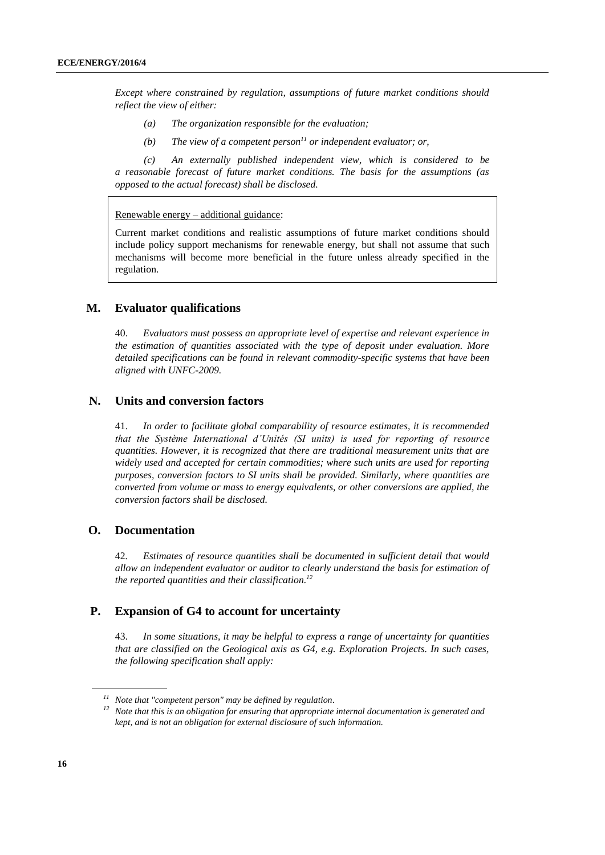*Except where constrained by regulation, assumptions of future market conditions should reflect the view of either:*

- *(a) The organization responsible for the evaluation;*
- *(b) The view of a competent person <sup>11</sup> or independent evaluator; or,*

*(c) An externally published independent view, which is considered to be a reasonable forecast of future market conditions. The basis for the assumptions (as opposed to the actual forecast) shall be disclosed.*

Renewable energy – additional guidance:

Current market conditions and realistic assumptions of future market conditions should include policy support mechanisms for renewable energy, but shall not assume that such mechanisms will become more beneficial in the future unless already specified in the regulation.

### <span id="page-15-0"></span>**M. Evaluator qualifications**

40. *Evaluators must possess an appropriate level of expertise and relevant experience in the estimation of quantities associated with the type of deposit under evaluation. More detailed specifications can be found in relevant commodity-specific systems that have been aligned with UNFC-2009.*

#### <span id="page-15-1"></span>**N. Units and conversion factors**

41. *In order to facilitate global comparability of resource estimates, it is recommended that the Système International d'Unités (SI units) is used for reporting of resource quantities. However, it is recognized that there are traditional measurement units that are widely used and accepted for certain commodities; where such units are used for reporting purposes, conversion factors to SI units shall be provided. Similarly, where quantities are converted from volume or mass to energy equivalents, or other conversions are applied, the conversion factors shall be disclosed.* 

# <span id="page-15-2"></span>**O. Documentation**

42*. Estimates of resource quantities shall be documented in sufficient detail that would allow an independent evaluator or auditor to clearly understand the basis for estimation of the reported quantities and their classification. 12*

# <span id="page-15-3"></span>**P. Expansion of G4 to account for uncertainty**

43. *In some situations, it may be helpful to express a range of uncertainty for quantities that are classified on the Geological axis as G4, e.g. Exploration Projects. In such cases, the following specification shall apply:*

*<sup>11</sup> Note that "competent person" may be defined by regulation.*

*<sup>12</sup> Note that this is an obligation for ensuring that appropriate internal documentation is generated and kept, and is not an obligation for external disclosure of such information.*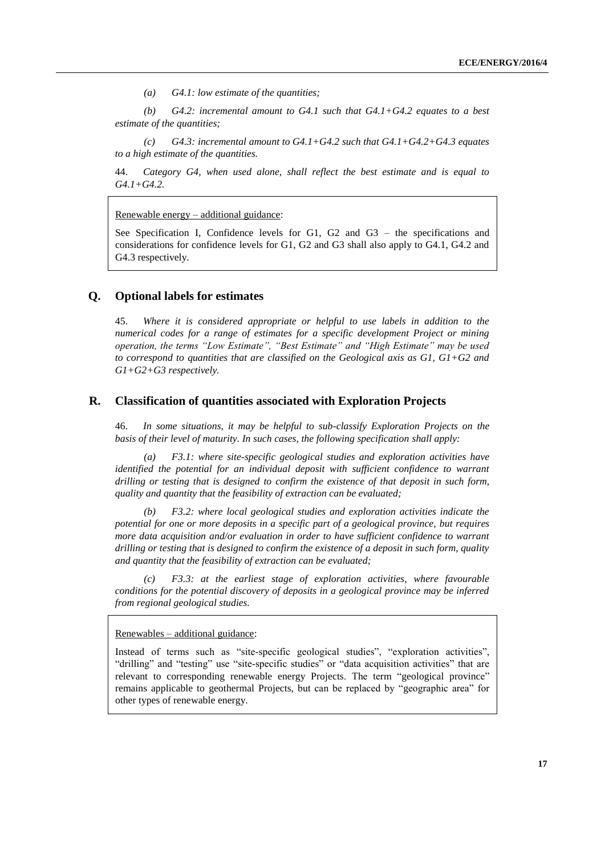*(a) G4.1: low estimate of the quantities;*

(b)  $G4.2$ : incremental amount to  $G4.1$  such that  $G4.1+G4.2$  equates to a best *estimate of the quantities;*

*(c) G4.3: incremental amount to G4.1+G4.2 such that G4.1+G4.2+G4.3 equates to a high estimate of the quantities.*

44. *Category G4, when used alone, shall reflect the best estimate and is equal to G4.1+G4.2.* 

Renewable energy – additional guidance:

See Specification I, Confidence levels for G1, G2 and G3 – the specifications and considerations for confidence levels for G1, G2 and G3 shall also apply to G4.1, G4.2 and G4.3 respectively.

#### <span id="page-16-0"></span>**Q. Optional labels for estimates**

45. *Where it is considered appropriate or helpful to use labels in addition to the numerical codes for a range of estimates for a specific development Project or mining operation, the terms "Low Estimate", "Best Estimate" and "High Estimate" may be used to correspond to quantities that are classified on the Geological axis as G1, G1+G2 and G1+G2+G3 respectively.*

#### <span id="page-16-1"></span>**R. Classification of quantities associated with Exploration Projects**

46. *In some situations, it may be helpful to sub-classify Exploration Projects on the basis of their level of maturity. In such cases, the following specification shall apply:*

*(a) F3.1: where site-specific geological studies and exploration activities have identified the potential for an individual deposit with sufficient confidence to warrant drilling or testing that is designed to confirm the existence of that deposit in such form, quality and quantity that the feasibility of extraction can be evaluated;*

*(b) F3.2: where local geological studies and exploration activities indicate the potential for one or more deposits in a specific part of a geological province, but requires more data acquisition and/or evaluation in order to have sufficient confidence to warrant drilling or testing that is designed to confirm the existence of a deposit in such form, quality and quantity that the feasibility of extraction can be evaluated;*

*(c) F3.3: at the earliest stage of exploration activities, where favourable conditions for the potential discovery of deposits in a geological province may be inferred from regional geological studies.*

Renewables – additional guidance:

Instead of terms such as "site-specific geological studies", "exploration activities", "drilling" and "testing" use "site-specific studies" or "data acquisition activities" that are relevant to corresponding renewable energy Projects. The term "geological province" remains applicable to geothermal Projects, but can be replaced by "geographic area" for other types of renewable energy.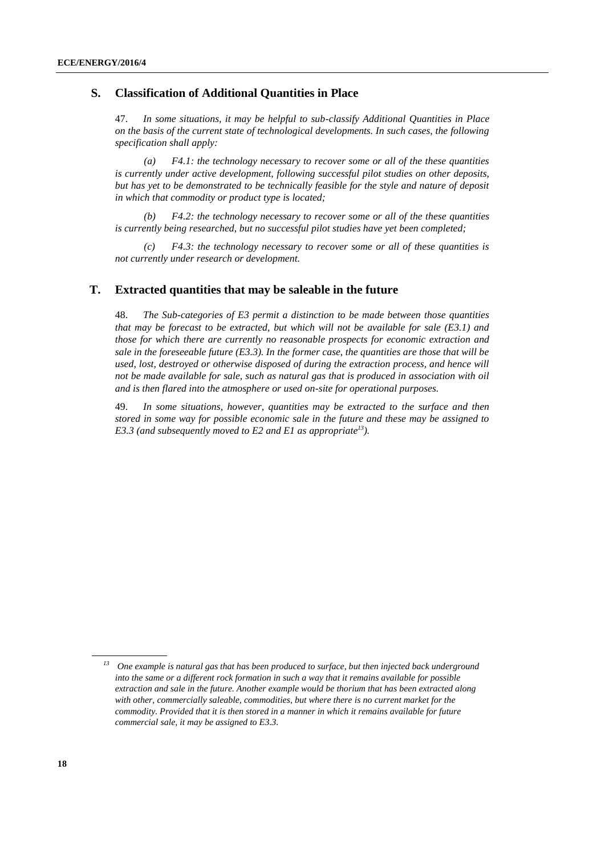# <span id="page-17-0"></span>**S. Classification of Additional Quantities in Place**

47. *In some situations, it may be helpful to sub-classify Additional Quantities in Place on the basis of the current state of technological developments. In such cases, the following specification shall apply:*

*(a) F4.1: the technology necessary to recover some or all of the these quantities is currently under active development, following successful pilot studies on other deposits, but has yet to be demonstrated to be technically feasible for the style and nature of deposit in which that commodity or product type is located;*

*(b) F4.2: the technology necessary to recover some or all of the these quantities is currently being researched, but no successful pilot studies have yet been completed;*

*(c) F4.3: the technology necessary to recover some or all of these quantities is not currently under research or development.*

## <span id="page-17-1"></span>**T. Extracted quantities that may be saleable in the future**

48. *The Sub-categories of E3 permit a distinction to be made between those quantities that may be forecast to be extracted, but which will not be available for sale (E3.1) and those for which there are currently no reasonable prospects for economic extraction and sale in the foreseeable future (E3.3). In the former case, the quantities are those that will be used, lost, destroyed or otherwise disposed of during the extraction process, and hence will not be made available for sale, such as natural gas that is produced in association with oil and is then flared into the atmosphere or used on-site for operational purposes.*

49. *In some situations, however, quantities may be extracted to the surface and then stored in some way for possible economic sale in the future and these may be assigned to E3.3 (and subsequently moved to E2 and E1 as appropriate<sup>13</sup>).*

*<sup>13</sup> One example is natural gas that has been produced to surface, but then injected back underground*  into the same or a different rock formation in such a way that it remains available for possible *extraction and sale in the future. Another example would be thorium that has been extracted along with other, commercially saleable, commodities, but where there is no current market for the commodity. Provided that it is then stored in a manner in which it remains available for future commercial sale, it may be assigned to E3.3.*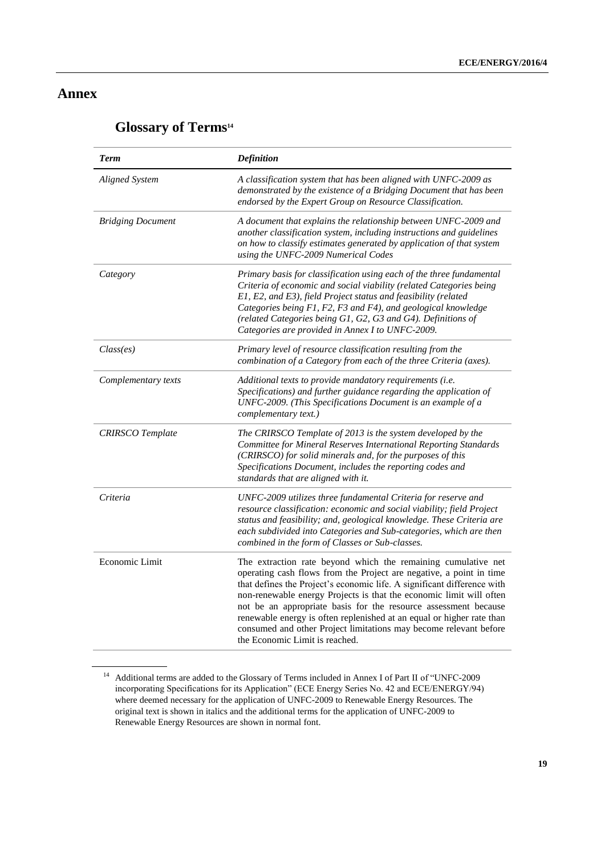# <span id="page-18-0"></span>**Annex**

# <span id="page-18-1"></span>**Glossary of Terms<sup>14</sup>**

| <b>Term</b>              | <b>Definition</b>                                                                                                                                                                                                                                                                                                                                                                                                                                                                                                                         |
|--------------------------|-------------------------------------------------------------------------------------------------------------------------------------------------------------------------------------------------------------------------------------------------------------------------------------------------------------------------------------------------------------------------------------------------------------------------------------------------------------------------------------------------------------------------------------------|
| <b>Aligned System</b>    | A classification system that has been aligned with UNFC-2009 as<br>demonstrated by the existence of a Bridging Document that has been<br>endorsed by the Expert Group on Resource Classification.                                                                                                                                                                                                                                                                                                                                         |
| <b>Bridging Document</b> | A document that explains the relationship between UNFC-2009 and<br>another classification system, including instructions and guidelines<br>on how to classify estimates generated by application of that system<br>using the UNFC-2009 Numerical Codes                                                                                                                                                                                                                                                                                    |
| Category                 | Primary basis for classification using each of the three fundamental<br>Criteria of economic and social viability (related Categories being<br>E1, E2, and E3), field Project status and feasibility (related<br>Categories being F1, F2, F3 and F4), and geological knowledge<br>(related Categories being G1, G2, G3 and G4). Definitions of<br>Categories are provided in Annex I to UNFC-2009.                                                                                                                                        |
| Class(es)                | Primary level of resource classification resulting from the<br>combination of a Category from each of the three Criteria (axes).                                                                                                                                                                                                                                                                                                                                                                                                          |
| Complementary texts      | Additional texts to provide mandatory requirements (i.e.<br>Specifications) and further guidance regarding the application of<br>UNFC-2009. (This Specifications Document is an example of a<br>complementary text.)                                                                                                                                                                                                                                                                                                                      |
| <b>CRIRSCO</b> Template  | The CRIRSCO Template of 2013 is the system developed by the<br>Committee for Mineral Reserves International Reporting Standards<br>(CRIRSCO) for solid minerals and, for the purposes of this<br>Specifications Document, includes the reporting codes and<br>standards that are aligned with it.                                                                                                                                                                                                                                         |
| Criteria                 | UNFC-2009 utilizes three fundamental Criteria for reserve and<br>resource classification: economic and social viability; field Project<br>status and feasibility; and, geological knowledge. These Criteria are<br>each subdivided into Categories and Sub-categories, which are then<br>combined in the form of Classes or Sub-classes.                                                                                                                                                                                                  |
| Economic Limit           | The extraction rate beyond which the remaining cumulative net<br>operating cash flows from the Project are negative, a point in time<br>that defines the Project's economic life. A significant difference with<br>non-renewable energy Projects is that the economic limit will often<br>not be an appropriate basis for the resource assessment because<br>renewable energy is often replenished at an equal or higher rate than<br>consumed and other Project limitations may become relevant before<br>the Economic Limit is reached. |

<sup>14</sup> Additional terms are added to the Glossary of Terms included in Annex I of Part II of "UNFC-2009 incorporating Specifications for its Application" (ECE Energy Series No. 42 and ECE/ENERGY/94) where deemed necessary for the application of UNFC-2009 to Renewable Energy Resources. The original text is shown in italics and the additional terms for the application of UNFC-2009 to Renewable Energy Resources are shown in normal font.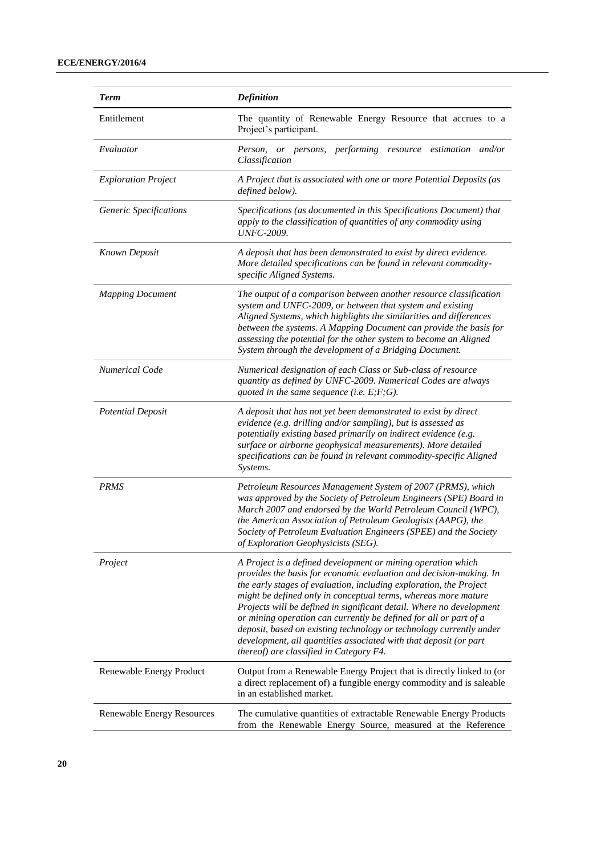| <b>Term</b>                | <b>Definition</b>                                                                                                                                                                                                                                                                                                                                                                                                                                                                                                                                                                                              |  |
|----------------------------|----------------------------------------------------------------------------------------------------------------------------------------------------------------------------------------------------------------------------------------------------------------------------------------------------------------------------------------------------------------------------------------------------------------------------------------------------------------------------------------------------------------------------------------------------------------------------------------------------------------|--|
| Entitlement                | The quantity of Renewable Energy Resource that accrues to a<br>Project's participant.                                                                                                                                                                                                                                                                                                                                                                                                                                                                                                                          |  |
| Evaluator                  | Person.<br>performing resource estimation and/or<br>or persons,<br>Classification                                                                                                                                                                                                                                                                                                                                                                                                                                                                                                                              |  |
| <b>Exploration Project</b> | A Project that is associated with one or more Potential Deposits (as<br>defined below).                                                                                                                                                                                                                                                                                                                                                                                                                                                                                                                        |  |
| Generic Specifications     | Specifications (as documented in this Specifications Document) that<br>apply to the classification of quantities of any commodity using<br><b>UNFC-2009.</b>                                                                                                                                                                                                                                                                                                                                                                                                                                                   |  |
| <b>Known Deposit</b>       | A deposit that has been demonstrated to exist by direct evidence.<br>More detailed specifications can be found in relevant commodity-<br>specific Aligned Systems.                                                                                                                                                                                                                                                                                                                                                                                                                                             |  |
| <b>Mapping Document</b>    | The output of a comparison between another resource classification<br>system and UNFC-2009, or between that system and existing<br>Aligned Systems, which highlights the similarities and differences<br>between the systems. A Mapping Document can provide the basis for<br>assessing the potential for the other system to become an Aligned<br>System through the development of a Bridging Document.                                                                                                                                                                                                      |  |
| <b>Numerical Code</b>      | Numerical designation of each Class or Sub-class of resource<br>quantity as defined by UNFC-2009. Numerical Codes are always<br>quoted in the same sequence (i.e. $E; F; G$ ).                                                                                                                                                                                                                                                                                                                                                                                                                                 |  |
| <b>Potential Deposit</b>   | A deposit that has not yet been demonstrated to exist by direct<br>evidence (e.g. drilling and/or sampling), but is assessed as<br>potentially existing based primarily on indirect evidence (e.g.<br>surface or airborne geophysical measurements). More detailed<br>specifications can be found in relevant commodity-specific Aligned<br>Systems.                                                                                                                                                                                                                                                           |  |
| <b>PRMS</b>                | Petroleum Resources Management System of 2007 (PRMS), which<br>was approved by the Society of Petroleum Engineers (SPE) Board in<br>March 2007 and endorsed by the World Petroleum Council (WPC),<br>the American Association of Petroleum Geologists (AAPG), the<br>Society of Petroleum Evaluation Engineers (SPEE) and the Society<br>of Exploration Geophysicists (SEG).                                                                                                                                                                                                                                   |  |
| Project                    | A Project is a defined development or mining operation which<br>provides the basis for economic evaluation and decision-making. In<br>the early stages of evaluation, including exploration, the Project<br>might be defined only in conceptual terms, whereas more mature<br>Projects will be defined in significant detail. Where no development<br>or mining operation can currently be defined for all or part of a<br>deposit, based on existing technology or technology currently under<br>development, all quantities associated with that deposit (or part<br>thereof) are classified in Category F4. |  |
| Renewable Energy Product   | Output from a Renewable Energy Project that is directly linked to (or<br>a direct replacement of) a fungible energy commodity and is saleable<br>in an established market.                                                                                                                                                                                                                                                                                                                                                                                                                                     |  |
| Renewable Energy Resources | The cumulative quantities of extractable Renewable Energy Products<br>from the Renewable Energy Source, measured at the Reference                                                                                                                                                                                                                                                                                                                                                                                                                                                                              |  |